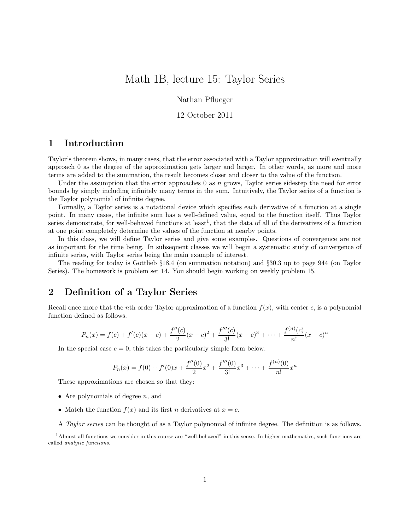# Math 1B, lecture 15: Taylor Series

Nathan Pflueger

#### 12 October 2011

## 1 Introduction

Taylor's theorem shows, in many cases, that the error associated with a Taylor approximation will eventually approach 0 as the degree of the approximation gets larger and larger. In other words, as more and more terms are added to the summation, the result becomes closer and closer to the value of the function.

Under the assumption that the error approaches  $0$  as  $n$  grows, Taylor series sidestep the need for error bounds by simply including infinitely many terms in the sum. Intuitively, the Taylor series of a function is the Taylor polynomial of infinite degree.

Formally, a Taylor series is a notational device which specifies each derivative of a function at a single point. In many cases, the infinite sum has a well-defined value, equal to the function itself. Thus Taylor series demonstrate, for well-behaved functions at least<sup>1</sup>, that the data of all of the derivatives of a function at one point completely determine the values of the function at nearby points.

In this class, we will define Taylor series and give some examples. Questions of convergence are not as important for the time being. In subsequent classes we will begin a systematic study of convergence of infinite series, with Taylor series being the main example of interest.

The reading for today is Gottlieb §18.4 (on summation notation) and §30.3 up to page 944 (on Taylor Series). The homework is problem set 14. You should begin working on weekly problem 15.

### 2 Definition of a Taylor Series

Recall once more that the *n*th order Taylor approximation of a function  $f(x)$ , with center c, is a polynomial function defined as follows.

$$
P_n(x) = f(c) + f'(c)(x - c) + \frac{f''(c)}{2}(x - c)^2 + \frac{f'''(c)}{3!}(x - c)^3 + \dots + \frac{f^{(n)}(c)}{n!}(x - c)^n
$$

In the special case  $c = 0$ , this takes the particularly simple form below.

$$
P_n(x) = f(0) + f'(0)x + \frac{f''(0)}{2}x^2 + \frac{f'''(0)}{3!}x^3 + \dots + \frac{f^{(n)}(0)}{n!}x^n
$$

These approximations are chosen so that they:

- Are polynomials of degree  $n$ , and
- Match the function  $f(x)$  and its first n derivatives at  $x = c$ .
- A Taylor series can be thought of as a Taylor polynomial of infinite degree. The definition is as follows.

<sup>&</sup>lt;sup>1</sup>Almost all functions we consider in this course are "well-behaved" in this sense. In higher mathematics, such functions are called analytic functions.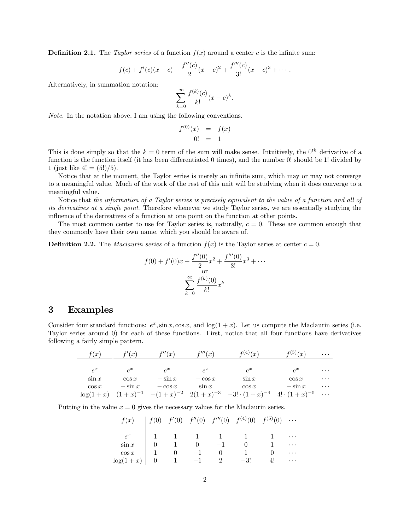**Definition 2.1.** The Taylor series of a function  $f(x)$  around a center c is the infinite sum:

$$
f(c) + f'(c)(x - c) + \frac{f''(c)}{2}(x - c)^2 + \frac{f'''(c)}{3!}(x - c)^3 + \cdots
$$

Alternatively, in summation notation:

$$
\sum_{k=0}^{\infty} \frac{f^{(k)}(c)}{k!} (x-c)^k.
$$

Note. In the notation above, I am using the following conventions.

$$
\begin{array}{rcl}\nf^{(0)}(x) & = & f(x) \\
0! & = & 1\n\end{array}
$$

This is done simply so that the  $k = 0$  term of the sum will make sense. Intuitively, the  $0^{th}$  derivative of a function is the function itself (it has been differentiated 0 times), and the number 0! should be 1! divided by 1 (just like  $4! = (5!) / 5$ ).

Notice that at the moment, the Taylor series is merely an infinite sum, which may or may not converge to a meaningful value. Much of the work of the rest of this unit will be studying when it does converge to a meaningful value.

Notice that the information of a Taylor series is precisely equivalent to the value of a function and all of its derivatives at a single point. Therefore whenever we study Taylor series, we are essentially studying the influence of the derivatives of a function at one point on the function at other points.

The most common center to use for Taylor series is, naturally,  $c = 0$ . These are common enough that they commonly have their own name, which you should be aware of.

**Definition 2.2.** The *Maclaurin series* of a function  $f(x)$  is the Taylor series at center  $c = 0$ .

$$
f(0) + f'(0)x + \frac{f''(0)}{2}x^{2} + \frac{f'''(0)}{3!}x^{3} + \cdots
$$
  
or  

$$
\sum_{k=0}^{\infty} \frac{f^{(k)}(0)}{k!}x^{k}
$$

#### 3 Examples

Consider four standard functions:  $e^x$ ,  $\sin x$ ,  $\cos x$ , and  $\log(1+x)$ . Let us compute the Maclaurin series (i.e. Taylor series around 0) for each of these functions. First, notice that all four functions have derivatives following a fairly simple pattern.

| f(x)        | f'(x)     | f''(x)    | f'''(x)   | $f^{(4)}(x)$                                                                          | $f^{(5)}(x)$ | $\cdots$ |
|-------------|-----------|-----------|-----------|---------------------------------------------------------------------------------------|--------------|----------|
|             |           |           |           |                                                                                       |              |          |
| $e^x$       | $e^x$     | $e^x$     | $\rho^x$  | $e^x$                                                                                 | $e^x$        | $\cdots$ |
| $\sin x$    | $\cos x$  | $-\sin x$ | $-\cos x$ | $\sin x$                                                                              | $\cos x$     | $\cdots$ |
| $\cos x$    | $-\sin x$ | $-\cos x$ | $\sin x$  | $\cos x$                                                                              | $-\sin x$    | $\cdots$ |
| $\log(1+x)$ |           |           |           | $(1+x)^{-1}$ $-(1+x)^{-2}$ $2(1+x)^{-3}$ $-3! \cdot (1+x)^{-4}$ $4! \cdot (1+x)^{-5}$ |              | $\cdots$ |

Putting in the value  $x = 0$  gives the necessary values for the Maclaurin series.

| f(x)        | f'(0)           | $f''(0)$ $f'''(0)$  |                | $f^{(4)}(0)$ $f^{(5)}(0)$ |          |
|-------------|-----------------|---------------------|----------------|---------------------------|----------|
|             |                 |                     |                |                           |          |
| $e^x$       |                 | $1 \quad 1 \quad 1$ |                |                           | $\cdots$ |
| $\sin x$    |                 |                     |                |                           | $\cdots$ |
| $\cos x$    |                 |                     |                |                           | $\cdots$ |
| $\log(1+x)$ | $\sim$ 1 $\sim$ |                     | $\overline{2}$ | $-3!$                     | $\cdots$ |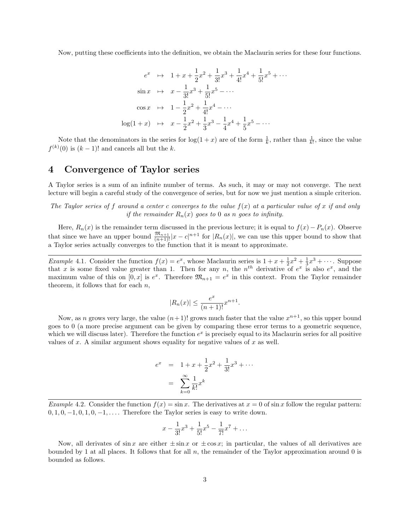Now, putting these coefficients into the definition, we obtain the Maclaurin series for these four functions.

$$
e^{x} \quad \mapsto \quad 1 + x + \frac{1}{2}x^{2} + \frac{1}{3!}x^{3} + \frac{1}{4!}x^{4} + \frac{1}{5!}x^{5} + \cdots
$$
\n
$$
\sin x \quad \mapsto \quad x - \frac{1}{3!}x^{3} + \frac{1}{5!}x^{5} - \cdots
$$
\n
$$
\cos x \quad \mapsto \quad 1 - \frac{1}{2}x^{2} + \frac{1}{4!}x^{4} - \cdots
$$
\n
$$
\log(1 + x) \quad \mapsto \quad x - \frac{1}{2}x^{2} + \frac{1}{3}x^{3} - \frac{1}{4}x^{4} + \frac{1}{5}x^{5} - \cdots
$$

Note that the denominators in the series for  $\log(1+x)$  are of the form  $\frac{1}{k}$ , rather than  $\frac{1}{k!}$ , since the value  $f^{(k)}(0)$  is  $(k-1)!$  and cancels all but the k.

#### 4 Convergence of Taylor series

A Taylor series is a sum of an infinite number of terms. As such, it may or may not converge. The next lecture will begin a careful study of the convergence of series, but for now we just mention a simple criterion.

The Taylor series of f around a center c converges to the value  $f(x)$  at a particular value of x if and only if the remainder  $R_n(x)$  goes to 0 as n goes to infinity.

Here,  $R_n(x)$  is the remainder term discussed in the previous lecture; it is equal to  $f(x) - P_n(x)$ . Observe that since we have an upper bound  $\frac{\mathfrak{M}_{n+1}}{(n+1)!}|x-c|^{n+1}$  for  $|R_n(x)|$ , we can use this upper bound to show that a Taylor series actually converges to the function that it is meant to approximate.

*Example* 4.1. Consider the function  $f(x) = e^x$ , whose Maclaurin series is  $1 + x + \frac{1}{2}x^2 + \frac{1}{3}x^3 + \cdots$ . Suppose that x is some fixed value greater than 1. Then for any n, the  $n<sup>th</sup>$  derivative of  $e<sup>x</sup>$  is also  $e<sup>x</sup>$ , and the maximum value of this on  $[0, x]$  is  $e^x$ . Therefore  $\mathfrak{M}_{n+1} = e^x$  in this context. From the Taylor remainder theorem, it follows that for each  $n$ ,

$$
|R_n(x)| \le \frac{e^x}{(n+1)!} x^{n+1}.
$$

Now, as n grows very large, the value  $(n+1)!$  grows much faster that the value  $x^{n+1}$ , so this upper bound goes to 0 (a more precise argument can be given by comparing these error terms to a geometric sequence, which we will discuss later). Therefore the function  $e^x$  is precisely equal to its Maclaurin series for all positive values of  $x$ . A similar argument shows equality for negative values of  $x$  as well.

$$
e^{x} = 1 + x + \frac{1}{2}x^{2} + \frac{1}{3!}x^{3} + \cdots
$$

$$
= \sum_{k=0}^{\infty} \frac{1}{k!}x^{k}
$$

Example 4.2. Consider the function  $f(x) = \sin x$ . The derivatives at  $x = 0$  of  $\sin x$  follow the regular pattern:  $0, 1, 0, -1, 0, 1, 0, -1, \ldots$  Therefore the Taylor series is easy to write down.

$$
x - \frac{1}{3!}x^3 + \frac{1}{5!}x^5 - \frac{1}{7!}x^7 + \dots
$$

Now, all derivates of  $\sin x$  are either  $\pm \sin x$  or  $\pm \cos x$ ; in particular, the values of all derivatives are bounded by 1 at all places. It follows that for all  $n$ , the remainder of the Taylor approximation around 0 is bounded as follows.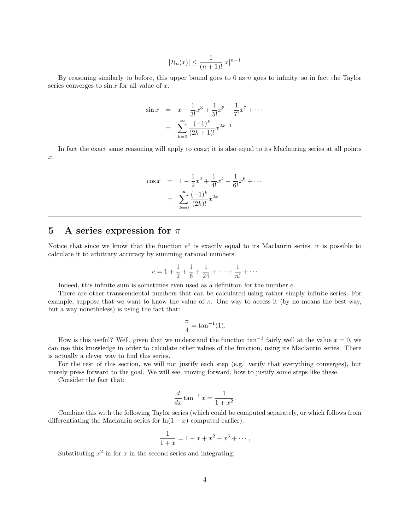$$
|R_n(x)| \le \frac{1}{(n+1)!} |x|^{n+1}
$$

By reasoning similarly to before, this upper bound goes to  $0$  as  $n$  goes to infinity, so in fact the Taylor series converges to  $\sin x$  for all value of x.

$$
\sin x = x - \frac{1}{3!}x^3 + \frac{1}{5!}x^5 - \frac{1}{7!}x^7 + \cdots
$$

$$
= \sum_{k=0}^{\infty} \frac{(-1)^k}{(2k+1)!} x^{2k+1}
$$

In fact the exact same reasoning will apply to  $\cos x$ ; it is also equal to its Maclauring series at all points x.

$$
\cos x = 1 - \frac{1}{2}x^2 + \frac{1}{4!}x^4 - \frac{1}{6!}x^6 + \cdots
$$

$$
= \sum_{k=0}^{\infty} \frac{(-1)^k}{(2k)!} x^{2k}
$$

### 5 A series expression for  $\pi$

Notice that since we know that the function  $e^x$  is exactly equal to its Maclaurin series, it is possible to calculate it to arbitrary accuracy by summing rational numbers.

$$
e = 1 + \frac{1}{2} + \frac{1}{6} + \frac{1}{24} + \dots + \frac{1}{n!} + \dotsb
$$

Indeed, this infinite sum is sometimes even used as a definition for the number e.

There are other transcendental numbers that can be calculated using rather simply infinite series. For example, suppose that we want to know the value of  $\pi$ . One way to access it (by no means the best way, but a way nonetheless) is using the fact that:

$$
\frac{\pi}{4} = \tan^{-1}(1).
$$

How is this useful? Well, given that we understand the function  $\tan^{-1}$  fairly well at the value  $x = 0$ , we can use this knowledge in order to calculate other values of the function, using its Maclaurin series. There is actually a clever way to find this series.

For the rest of this section, we will not justify each step (e.g. verify that everything converges), but merely press forward to the goal. We will see, moving forward, how to justify some steps like these.

Consider the fact that:

$$
\frac{d}{dx}\tan^{-1}x = \frac{1}{1+x^2}.
$$

Combine this with the following Taylor series (which could be computed separately, or which follows from differentiating the Maclaurin series for  $\ln(1+x)$  computed earlier).

$$
\frac{1}{1+x} = 1 - x + x^2 - x^3 + \cdots,
$$

Substituting  $x^2$  in for x in the second series and integrating: